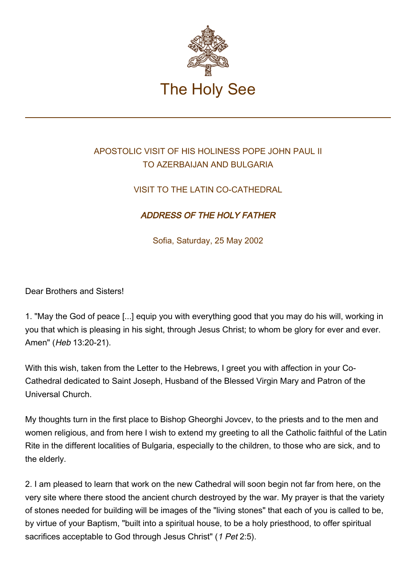

## APOSTOLIC VISIT OF HIS HOLINESS POPE JOHN PAUL II TO AZERBAIJAN AND BULGARIA

## VISIT TO THE LATIN CO-CATHEDRAL

## ADDRESS OF THE HOLY FATHER

Sofia, Saturday, 25 May 2002

Dear Brothers and Sisters!

1. "May the God of peace [...] equip you with everything good that you may do his will, working in you that which is pleasing in his sight, through Jesus Christ; to whom be glory for ever and ever. Amen" (Heb 13:20-21).

With this wish, taken from the Letter to the Hebrews, I greet you with affection in your Co-Cathedral dedicated to Saint Joseph, Husband of the Blessed Virgin Mary and Patron of the Universal Church.

My thoughts turn in the first place to Bishop Gheorghi Jovcev, to the priests and to the men and women religious, and from here I wish to extend my greeting to all the Catholic faithful of the Latin Rite in the different localities of Bulgaria, especially to the children, to those who are sick, and to the elderly.

2. I am pleased to learn that work on the new Cathedral will soon begin not far from here, on the very site where there stood the ancient church destroyed by the war. My prayer is that the variety of stones needed for building will be images of the "living stones" that each of you is called to be, by virtue of your Baptism, "built into a spiritual house, to be a holy priesthood, to offer spiritual sacrifices acceptable to God through Jesus Christ" (1 Pet 2:5).